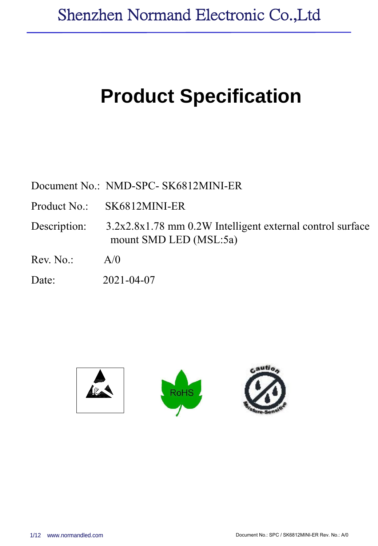# **Product Specification**

Document No.: NMD-SPC- SK6812MINI-ER

Product No.: SK6812MINI-ER

Description: 3.2x2.8x1.78 mm 0.2W Intelligent external control surface mount SMD LED (MSL:5a)

Rev. No.: A/0

Date: 2021-04-07

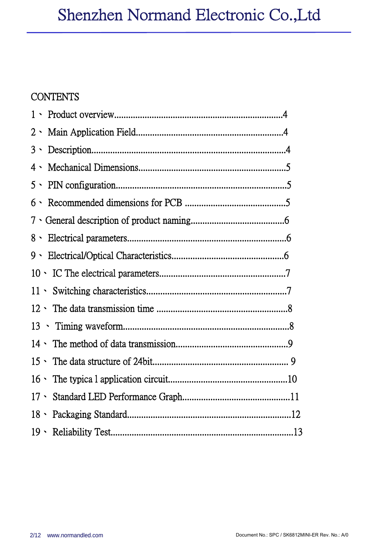# **CONTENTS**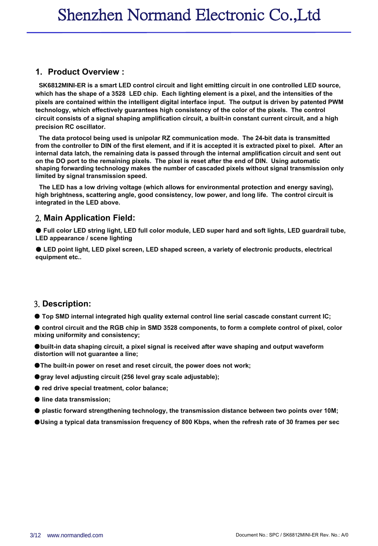#### **1. Product Overview :**

 **SK6812MINI-ER is a smart LED control circuit and light emitting circuit in one controlled LED source, which has the shape of a 3528 LED chip. Each lighting element is a pixel, and the intensities of the pixels are contained within the intelligent digital interface input. The output is driven by patented PWM technology, which effectively guarantees high consistency of the color of the pixels. The control circuit consists of a signal shaping amplification circuit, a built-in constant current circuit, and a high precision RC oscillator.**

 **The data protocol being used is unipolar RZ communication mode. The 24-bit data is transmitted from the controller to DIN of the first element, and if it is accepted it is extracted pixel to pixel. After an internal data latch, the remaining data is passed through the internal amplification circuit and sent out on the DO port to the remaining pixels. The pixel is reset after the end of DIN. Using automatic shaping forwarding technology makes the number of cascaded pixels without signal transmission only limited by signal transmission speed.**

 **The LED has a low driving voltage (which allows for environmental protection and energy saving), high brightness, scattering angle, good consistency, low power, and long life. The control circuit is integrated in the LED above.**

#### 2. **Main Application Field:**

● **Full color LED string light, LED full color module, LED super hard and soft lights, LED guardrail tube, LED appearance / scene lighting**

● **LED point light, LED pixel screen, LED shaped screen, a variety of electronic products, electrical equipment etc..**

#### 3. **Description:**

● **Top SMD internalintegrated high quality external control line serial cascade constant current IC;**

Control circuit and the RGB chip in SMD 3528 components, to form a complete control of pixel, color **mixing uniformity and consistency;**

●**built-in data shaping circuit, a pixel signal is received after wave shaping and output waveform distortion will not guarantee a line;**

- ●**The built-in power on reset and reset circuit, the power does not work;**
- ●**gray level adjusting circuit (256 level gray scale adjustable);**
- **red drive specialtreatment, color balance;**
- **line data transmission;**
- **plastic forward strengthening technology, the transmission distance between two points over 10M;**
- $\bullet$ Using a typical data transmission frequency of 800 Kbps, when the refresh rate of 30 frames per sec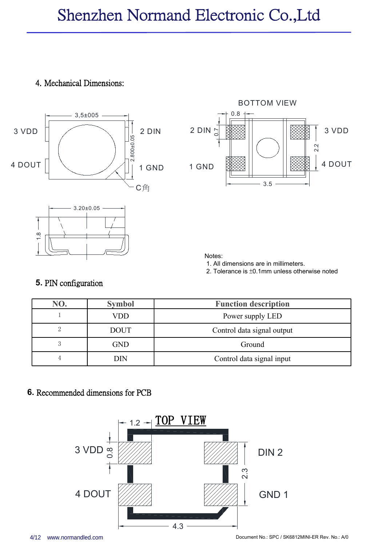# Shenzhen Normand Electronic Co.,Ltd

### 4. Mechanical Dimensions:





Notes:<br>1. All dimensions are in millimeters.

2. Tolerance is  $\pm 0.1$ mm unless otherwise noted

#### **5.** PIN configuration

| NO. | <b>Symbol</b> | <b>Function description</b> |
|-----|---------------|-----------------------------|
|     | VDD           | Power supply LED            |
|     | <b>DOUT</b>   | Control data signal output  |
| 3   | <b>GND</b>    | Ground                      |
|     | <b>DIN</b>    | Control data signal input   |

#### **6.** Recommended dimensions for PCB

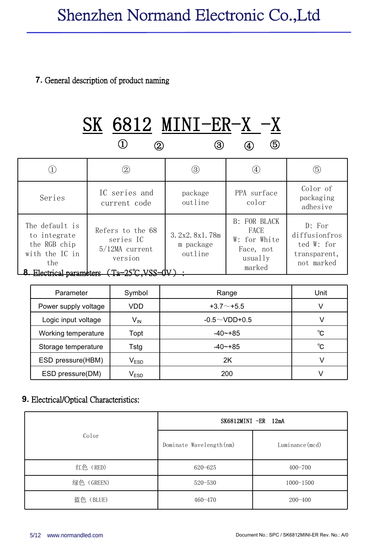### **7.** General description of product naming

# $\begin{array}{ccccccc} \textcircled{1} & & \textcircled{2} & & \textcircled{3} & & \textcircled{4} & & \textcircled{5} & \end{array}$ SK 6812 MINI-ER-X -X ④ ⑤

|                                                                                                  | $\circled{2}$                                                                                                            | $\circled{3}$                         | $\circled{4}$                                                                 | $\circledS$                                                         |
|--------------------------------------------------------------------------------------------------|--------------------------------------------------------------------------------------------------------------------------|---------------------------------------|-------------------------------------------------------------------------------|---------------------------------------------------------------------|
| Series                                                                                           | IC series and<br>current code                                                                                            | package<br>outline                    | PPA surface<br>color                                                          | Color of<br>packaging<br>adhesive                                   |
| The default is<br>to integrate<br>the RGB chip<br>with the IC in<br>the<br>Electrical parameters | Refers to the 68<br>series IC<br>$5/12MA$ current<br>version<br>$\gamma$ ר און די די די די די די די די די די די $\gamma$ | 3.2x2.8x1.78m<br>m package<br>outline | <b>B: FOR BLACK</b><br>FACE<br>W: for White<br>Face, not<br>usually<br>marked | D: For<br>diffusionfros<br>ted W: for<br>transparent,<br>not marked |

| Parameter            | Symbol                      | Range               | Unit         |
|----------------------|-----------------------------|---------------------|--------------|
| Power supply voltage | VDD                         | $+3.7 \sim +5.5$    | V            |
| Logic input voltage  | $\mathsf{V}_{\mathsf{IN}}$  | $-0.5 \sim$ VDD+0.5 |              |
| Working temperature  | Topt                        | $-40$ $-+85$        | $^{\circ}$ C |
| Storage temperature  | Tstg                        | $-40$ $-+85$        | °C           |
| ESD pressure(HBM)    | $\mathsf{V}_{\mathsf{ESD}}$ | 2Κ                  | V            |
| ESD pressure(DM)     | $\mathsf{V}_{\mathsf{ESD}}$ | 200                 |              |

#### **9.** Electrical/Optical Characteristics:

|            |                          | $SK6812MINI$ -ER 12mA |
|------------|--------------------------|-----------------------|
| Color      | Dominate Wavelength (nm) | Luminance (mcd)       |
| 红色 (RED)   | 620-625                  | $400 - 700$           |
| 绿色 (GREEN) | $520 - 530$              | $1000 - 1500$         |
| 蓝色 (BLUE)  | $460 - 470$              | $200 - 400$           |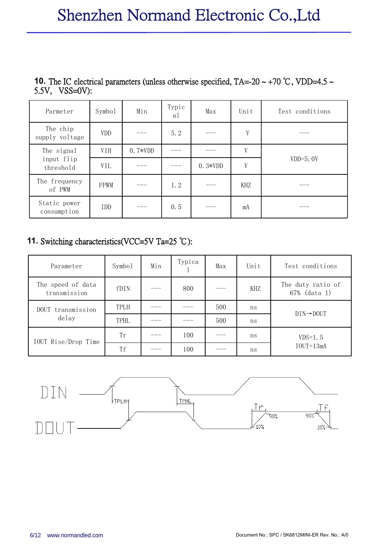| Parmeter                    | Symbo1     | Min       | Typic<br>al | Max       | Unit | Test conditions |
|-----------------------------|------------|-----------|-------------|-----------|------|-----------------|
| The chip<br>supply voltage  | VDD        | ___       | 5.2         | ___       | V    | ___             |
| The signal                  | VIH        | $0.7*VDD$ | ___         | ___       | V    |                 |
| input flip<br>threshold     | VIL        |           |             | $0.3*VDD$ | V    | $VDD=5.0V$      |
| The frequency<br>of PWM     | FPWM       | ---       | 1.2         | ___       | KHZ  | ___             |
| Static power<br>consumption | <b>IDD</b> | ____      | 0.5         | $- - -$   | mA   | ___             |

**10.** The IC electrical parameters (unless otherwise specified, TA=-20 ~ +70 °C, VDD=4.5 ~ 5.5V, VSS=0V):

### **11.** Switching characteristics(VCC=5V Ta=25 ℃):

| Parameter                         | Symbo1 | Min   | Typica | Max | Unit | Test conditions                   |
|-----------------------------------|--------|-------|--------|-----|------|-----------------------------------|
| The speed of data<br>transmission | fDIN   | $---$ | 800    | ___ | KHZ  | The duty ratio of<br>67% (data 1) |
| DOUT transmission                 | TPLH   | ___   |        | 500 | ns   | $DIN \rightarrow DOUT$            |
| delay                             | TPHL   | ___   |        | 500 | ns   |                                   |
| IOUT Rise/Drop Time               | Tr     | ---   | 100    | ___ | ns   | $VDS=1.5$                         |
|                                   | Tf     | ---   | 100    | ___ | ns   | $IOUT=13mA$                       |

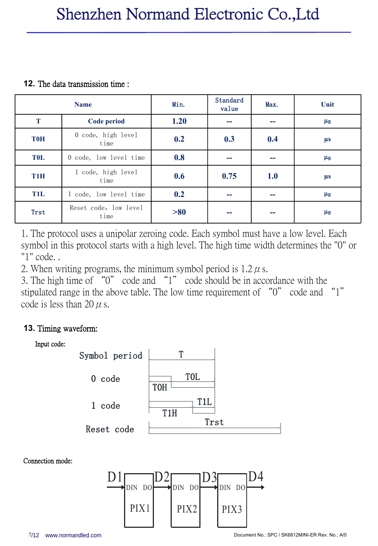#### **12.** The data transmission time :

|            | <b>Name</b>                   | Min. | Standard<br>value | Max. | Unit               |
|------------|-------------------------------|------|-------------------|------|--------------------|
| T          | Code period                   | 1.20 | --                | --   | $\mu$ <sub>S</sub> |
| <b>T0H</b> | 0 code, high level<br>time    | 0.2  | 0.3               | 0.4  | <b>µs</b>          |
| <b>TOL</b> | 0 code, low level time        | 0.8  | --                | --   | $\mu_{\rm S}$      |
| T1H        | 1 code, high level<br>time    | 0.6  | 0.75              | 1.0  | <b>µs</b>          |
| <b>T1L</b> | 1 code, low level time        | 0.2  |                   | --   | $\mu_{\rm S}$      |
| Trst       | Reset code, low level<br>time | >80  |                   | --   | $\mu$ <sub>S</sub> |

1. The protocol uses a unipolar zeroing code. Each symbol must have a low level. Each symbol in this protocol starts with a high level. The high time width determines the "0" or "1" code. .

2. When writing programs, the minimum symbol period is  $1.2 \mu$  s.

3. The high time of "0" code and "1" code should be in accordance with the stipulated range in the above table. The low time requirement of "0" code and "1" code is less than 20  $\mu$  s.

## **13.** Timing waveform:



Connection mode:

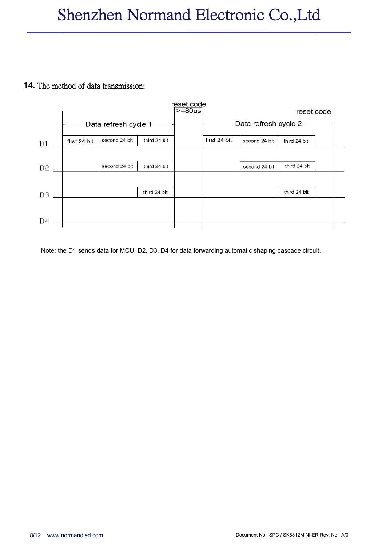#### **14.** The method of data transmission:



Note: the D1 sends data for MCU, D2, D3, D4 for data forwarding automatic shaping cascade circuit.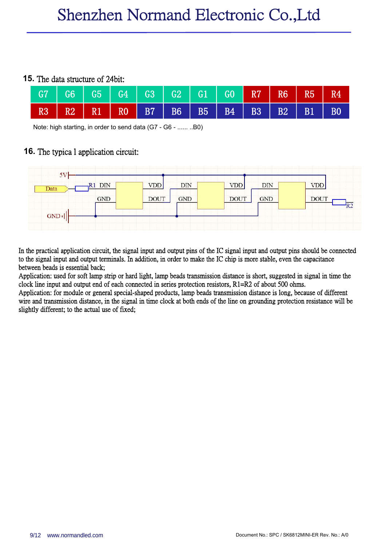#### **15.** The data structure of 24bit:

|  | G7   G6   G5   G4   G3   G2   G1   G0   R7   R6   R5 |  |  |  | R4              |
|--|------------------------------------------------------|--|--|--|-----------------|
|  | R3 R2 R1 R0 B7 B6 B5 B4 B3 B2 B1                     |  |  |  | $\overline{B0}$ |

Note: high starting, in order to send data (G7 - G6 - ...... ..B0)

#### **16.** The typica l application circuit:



In the practical application circuit, the signal input and output pins of the IC signal input and output pins should be connected to the signal input and output terminals. In addition, in order to make the IC chip is more stable, even the capacitance between beads is essential back;

Application: used for soft lamp strip or hard light, lamp beads transmission distance is short, suggested in signal in time the clock line input and output end of each connected in series protection resistors, R1=R2 of abo

Application: for module or general special-shaped products, lamp beads transmission distance is long, because of different wire and transmission distance, in the signal in time clock at both ends of the line on grounding p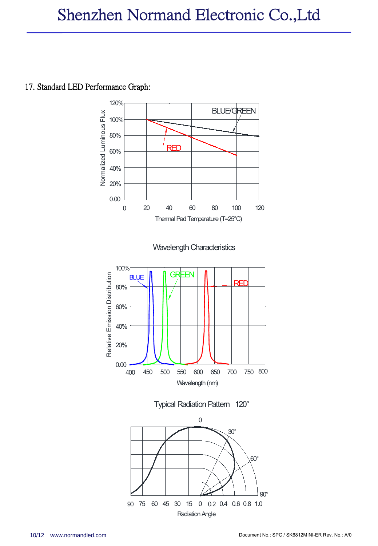# 17. Standard LED Performance Graph:

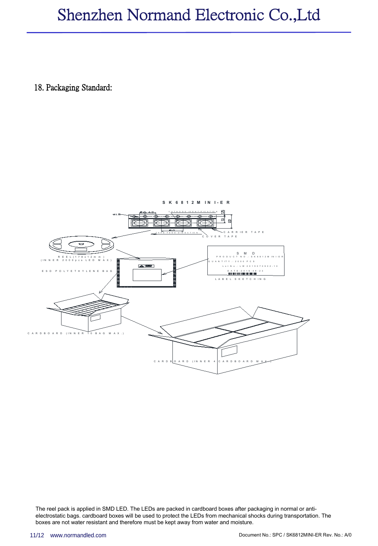# Shenzhen Normand Electronic Co.,Ltd

18. Packaging Standard:



The reel pack is applied in SMD LED. The LEDs are packed in cardboard boxes after packaging in normal or anti electrostatic bags. cardboard boxes will be used to protect the LEDs from mechanical shocks during transportation. The boxes are not water resistant and therefore must be kept away from water and moisture.